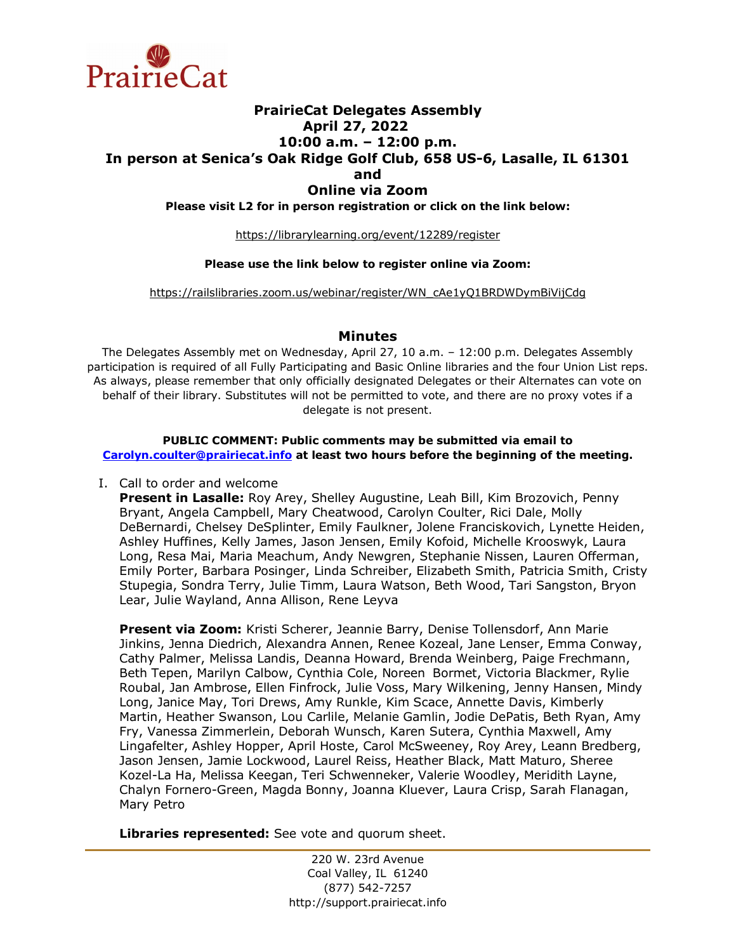

# **PrairieCat Delegates Assembly April 27, 2022 10:00 a.m. – 12:00 p.m. In person at Senica's Oak Ridge Golf Club, 658 US-6, Lasalle, IL 61301 and Online via Zoom Please visit L2 for in person registration or click on the link below:**

https://librarylearning.org/event/12289/register

#### **Please use the link below to register online via Zoom:**

https://railslibraries.zoom.us/webinar/register/WN\_cAe1yO1BRDWDymBiVijCdg

### **Minutes**

The Delegates Assembly met on Wednesday, April 27, 10 a.m. – 12:00 p.m. Delegates Assembly participation is required of all Fully Participating and Basic Online libraries and the four Union List reps. As always, please remember that only officially designated Delegates or their Alternates can vote on behalf of their library. Substitutes will not be permitted to vote, and there are no proxy votes if a delegate is not present.

#### **PUBLIC COMMENT: Public comments may be submitted via email to [Carolyn.coulter@prairiecat.info](mailto:Carolyn.coulter@prairiecat.info) at least two hours before the beginning of the meeting.**

I. Call to order and welcome

**Present in Lasalle:** Roy Arey, Shelley Augustine, Leah Bill, Kim Brozovich, Penny Bryant, Angela Campbell, Mary Cheatwood, Carolyn Coulter, Rici Dale, Molly DeBernardi, Chelsey DeSplinter, Emily Faulkner, Jolene Franciskovich, Lynette Heiden, Ashley Huffines, Kelly James, Jason Jensen, Emily Kofoid, Michelle Krooswyk, Laura Long, Resa Mai, Maria Meachum, Andy Newgren, Stephanie Nissen, Lauren Offerman, Emily Porter, Barbara Posinger, Linda Schreiber, Elizabeth Smith, Patricia Smith, Cristy Stupegia, Sondra Terry, Julie Timm, Laura Watson, Beth Wood, Tari Sangston, Bryon Lear, Julie Wayland, Anna Allison, Rene Leyva

**Present via Zoom:** Kristi Scherer, Jeannie Barry, Denise Tollensdorf, Ann Marie Jinkins, Jenna Diedrich, Alexandra Annen, Renee Kozeal, Jane Lenser, Emma Conway, Cathy Palmer, Melissa Landis, Deanna Howard, Brenda Weinberg, Paige Frechmann, Beth Tepen, Marilyn Calbow, Cynthia Cole, Noreen Bormet, Victoria Blackmer, Rylie Roubal, Jan Ambrose, Ellen Finfrock, Julie Voss, Mary Wilkening, Jenny Hansen, Mindy Long, Janice May, Tori Drews, Amy Runkle, Kim Scace, Annette Davis, Kimberly Martin, Heather Swanson, Lou Carlile, Melanie Gamlin, Jodie DePatis, Beth Ryan, Amy Fry, Vanessa Zimmerlein, Deborah Wunsch, Karen Sutera, Cynthia Maxwell, Amy Lingafelter, Ashley Hopper, April Hoste, Carol McSweeney, Roy Arey, Leann Bredberg, Jason Jensen, Jamie Lockwood, Laurel Reiss, Heather Black, Matt Maturo, Sheree Kozel-La Ha, Melissa Keegan, Teri Schwenneker, Valerie Woodley, Meridith Layne, Chalyn Fornero-Green, Magda Bonny, Joanna Kluever, Laura Crisp, Sarah Flanagan, Mary Petro

**Libraries represented:** See vote and quorum sheet.

220 W. 23rd Avenue Coal Valley, IL 61240 (877) 542-7257 http://support.prairiecat.info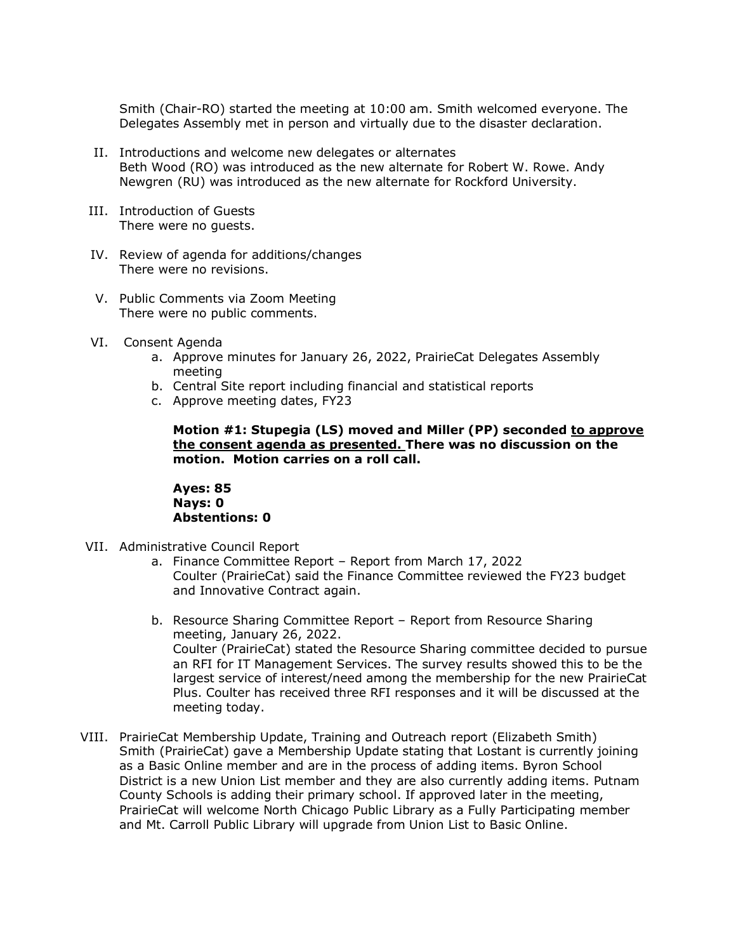Smith (Chair-RO) started the meeting at 10:00 am. Smith welcomed everyone. The Delegates Assembly met in person and virtually due to the disaster declaration.

- II. Introductions and welcome new delegates or alternates Beth Wood (RO) was introduced as the new alternate for Robert W. Rowe. Andy Newgren (RU) was introduced as the new alternate for Rockford University.
- III. Introduction of Guests There were no guests.
- IV. Review of agenda for additions/changes There were no revisions.
- V. Public Comments via Zoom Meeting There were no public comments.
- VI. Consent Agenda
	- a. Approve minutes for January 26, 2022, PrairieCat Delegates Assembly meeting
	- b. Central Site report including financial and statistical reports
	- c. Approve meeting dates, FY23

**Motion #1: Stupegia (LS) moved and Miller (PP) seconded to approve the consent agenda as presented. There was no discussion on the motion. Motion carries on a roll call.**

**Ayes: 85 Nays: 0 Abstentions: 0**

- VII. Administrative Council Report
	- a. Finance Committee Report Report from March 17, 2022 Coulter (PrairieCat) said the Finance Committee reviewed the FY23 budget and Innovative Contract again.
	- b. Resource Sharing Committee Report Report from Resource Sharing meeting, January 26, 2022. Coulter (PrairieCat) stated the Resource Sharing committee decided to pursue an RFI for IT Management Services. The survey results showed this to be the largest service of interest/need among the membership for the new PrairieCat Plus. Coulter has received three RFI responses and it will be discussed at the meeting today.
- VIII. PrairieCat Membership Update, Training and Outreach report (Elizabeth Smith) Smith (PrairieCat) gave a Membership Update stating that Lostant is currently joining as a Basic Online member and are in the process of adding items. Byron School District is a new Union List member and they are also currently adding items. Putnam County Schools is adding their primary school. If approved later in the meeting, PrairieCat will welcome North Chicago Public Library as a Fully Participating member and Mt. Carroll Public Library will upgrade from Union List to Basic Online.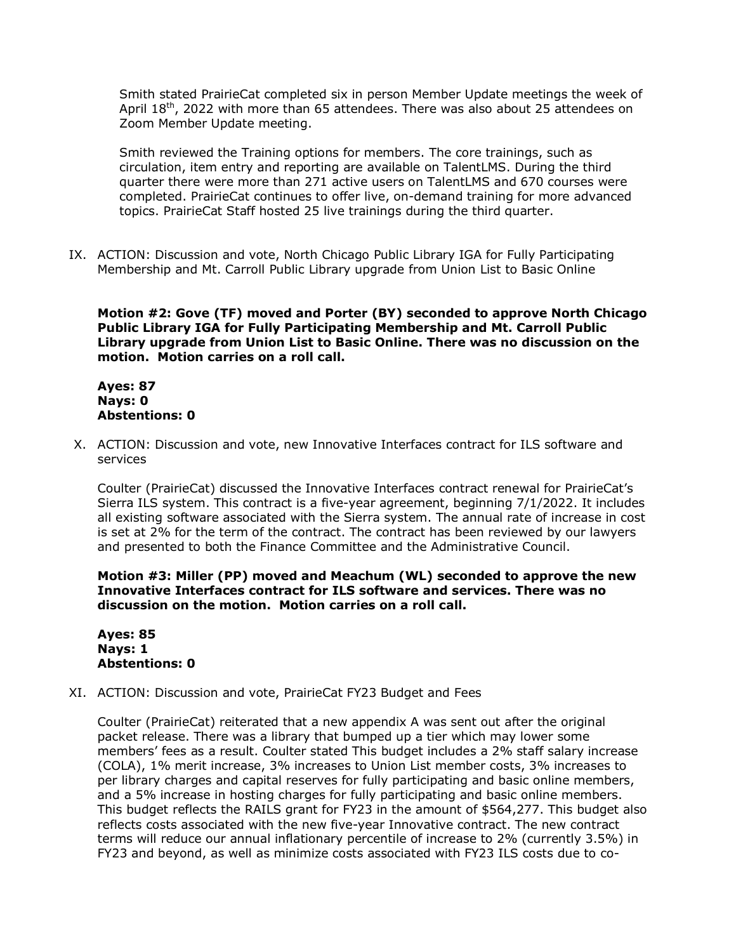Smith stated PrairieCat completed six in person Member Update meetings the week of April 18<sup>th</sup>, 2022 with more than 65 attendees. There was also about 25 attendees on Zoom Member Update meeting.

Smith reviewed the Training options for members. The core trainings, such as circulation, item entry and reporting are available on TalentLMS. During the third quarter there were more than 271 active users on TalentLMS and 670 courses were completed. PrairieCat continues to offer live, on-demand training for more advanced topics. PrairieCat Staff hosted 25 live trainings during the third quarter.

IX. ACTION: Discussion and vote, North Chicago Public Library IGA for Fully Participating Membership and Mt. Carroll Public Library upgrade from Union List to Basic Online

**Motion #2: Gove (TF) moved and Porter (BY) seconded to approve North Chicago Public Library IGA for Fully Participating Membership and Mt. Carroll Public Library upgrade from Union List to Basic Online. There was no discussion on the motion. Motion carries on a roll call.**

**Ayes: 87 Nays: 0 Abstentions: 0**

X. ACTION: Discussion and vote, new Innovative Interfaces contract for ILS software and services

Coulter (PrairieCat) discussed the Innovative Interfaces contract renewal for PrairieCat's Sierra ILS system. This contract is a five-year agreement, beginning 7/1/2022. It includes all existing software associated with the Sierra system. The annual rate of increase in cost is set at 2% for the term of the contract. The contract has been reviewed by our lawyers and presented to both the Finance Committee and the Administrative Council.

**Motion #3: Miller (PP) moved and Meachum (WL) seconded to approve the new Innovative Interfaces contract for ILS software and services. There was no discussion on the motion. Motion carries on a roll call.**

**Ayes: 85 Nays: 1 Abstentions: 0**

XI. ACTION: Discussion and vote, PrairieCat FY23 Budget and Fees

Coulter (PrairieCat) reiterated that a new appendix A was sent out after the original packet release. There was a library that bumped up a tier which may lower some members' fees as a result. Coulter stated This budget includes a 2% staff salary increase (COLA), 1% merit increase, 3% increases to Union List member costs, 3% increases to per library charges and capital reserves for fully participating and basic online members, and a 5% increase in hosting charges for fully participating and basic online members. This budget reflects the RAILS grant for FY23 in the amount of \$564,277. This budget also reflects costs associated with the new five-year Innovative contract. The new contract terms will reduce our annual inflationary percentile of increase to 2% (currently 3.5%) in FY23 and beyond, as well as minimize costs associated with FY23 ILS costs due to co-